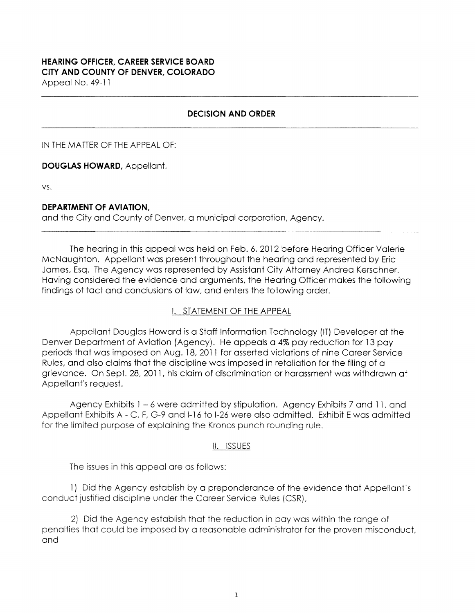### **HEARING OFFICER, CAREER SERVICE BOARD CITY AND COUNTY OF DENVER, COLORADO**  Appeal No. 49-11

## **DECISION AND ORDER**

IN THE MATTER OF THE APPEAL OF:

**DOUGLAS HOWARD,** Appellant,

vs.

### **DEPARTMENT OF AVIATION,**

and the City and County of Denver, a municipal corporation, Agency.

The hearing in this appeal was held on Feb. 6, 2012 before Hearing Officer Valerie McNaughton. Appellant was present throughout the hearing and represented by Eric James, Esq. The Agency was represented by Assistant City Attorney Andrea Kerschner. Having considered the evidence and arguments, the Hearing Officer makes the following findings of fact and conclusions of law, and enters the following order.

## I. STATEMENT OF THE APPEAL

Appellant Douglas Howard is a Staff Information Technology (IT) Developer at the Denver Department of Aviation (Agency). He appeals a 4% pay reduction for 13 pay periods that was imposed on Aug. 18, 2011 for asserted violations of nine Career Service Rules, and also claims that the discipline was imposed in retaliation for the filing of a grievance. On Sept. 28, 2011, his claim of discrimination or harassment was withdrawn at Appellant's request.

Agency Exhibits 1 - 6 were admitted by stipulation. Agency Exhibits 7 and 11, and Appellant Exhibits A - C, F, G-9 and 1-16 to 1-26 were also admitted. Exhibit E was admitted for the limited purpose of explaining the Kronos punch rounding rule.

#### II. ISSUES

The issues in this appeal are as follows:

1) Did the Agency establish by a preponderance of the evidence that Appellant's conduct justified discipline under the Career Service Rules {CSR),

2) Did the Agency establish that the reduction in pay was within the range of penalties that could be imposed by a reasonable administrator for the proven misconduct, and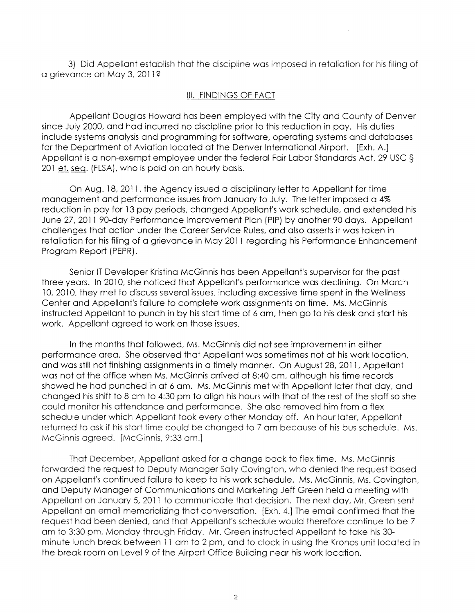3) Did Appellant establish that the discipline was imposed in retaliation for his filing of a grievance on May 3, 2011?

#### Ill. FINDINGS OF FACT

Appellant Douglas Howard has been employed with the City and County of Denver since July 2000, and had incurred no discipline **prior** to this reduction in pay. His duties include systems analysis and programming for software, operating systems and databases for the Department of Aviation located at the Denver International Airport. [Exh. A.] Appellant is a non-exempt employee under the federal Fair Labor Standards Act, 29 USC§ 201 et. seq. (FLSA}, who is paid on an hourly basis.

On Aug. 18, 2011, the Agency issued a disciplinary letter to Appellant for time management and performance issues from January to July. The letter imposed a 4% reduction in pay for 13 pay periods, changed Appellant's work schedule, and extended his June 27, 2011 90-day Performance Improvement Plan (PIP) by another 90 days. Appellant challenges that action under the Career Service Rules, and also asserts it was taken in retaliation for his filing of a grievance in May 2011 regarding his Performance Enhancement Program Report (PEPR).

Senior IT Developer Kristina McGinnis has been Appellant's supervisor for the past three years. In 2010, she noticed that Appellant's performance was declining. On March 10, 2010, they met to discuss several issues, including excessive time spent in the Wellness Center and Appellant's failure to complete work assignments on time. Ms. McGinnis instructed Appellant to punch in by his start time of 6 am, then go to his desk and start his work. Appellant agreed to work on those issues.

In the months that followed, Ms. McGinnis did not see improvement in either performance area. She observed that Appellant was sometimes not at his work location, and was still not finishing assignments in a timely manner. On August 28, 2011, Appellant was not at the office when Ms. McGinnis arrived at 8:40 am, although his time records showed he had punched in at 6 am. Ms. McGinnis met with Appellant later that day, and changed his shift to 8 am to 4:30 pm to align his hours with that of the rest of the staff so she could monitor his attendance and performance. She also removed him from a flex schedule under which Appellant took every other Monday off. An hour later, Appellant returned to ask if his start time could be changed to 7 am because of his bus schedule. Ms. **McGinnis agreed. [McGinnis, 9:33 am.]** 

That December, Appellant asked for a change back to flex time. Ms. McGinnis forwarded the request to Deputy Manager Sally Covington, who denied the request based on Appellant's continued failure to keep to his work schedule. Ms. McGinnis, Ms. Covington, and Deputy Manager of Communications and Marketing Jeff Green held a meeting with Appellant on January 5, 2011 to communicate that decision. The next day, Mr. Green sent Appellant an email memorializing that conversation. [Exh. 4.] The email confirmed that the request had been denied, and that Appellant's schedule would therefore continue to be 7 am to 3:30 pm, Monday through Friday. Mr. Green instructed Appellant to take his 30 minute lunch break between 11 am to 2 pm, and to clock in using the Kronos unit located in the break room on Level 9 of the Airport Office Building near his work location.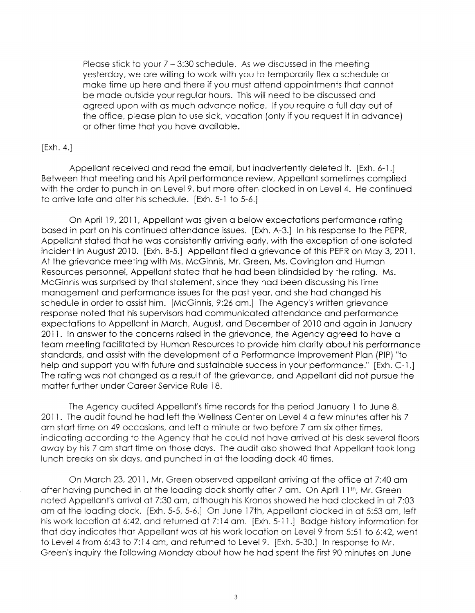Please stick to your  $7 - 3:30$  schedule. As we discussed in the meeting yesterday, we are willing to work with you to temporarily **flex** a schedule or make time up **here** and **there** if you must attend appointments that cannot **be** made outside your regular hours. **This will** need to be discussed and agreed **upon** with as much advance notice. If you require a full day out of the office, please plan to use sick, vacation (only if you request it in advance) or other time that you have available.

#### [Exh. **4.]**

Appellant received and read the email, but inadvertently deleted it. [Exh. 6-1.] Between that meeting and his April performance review, Appellant sometimes complied with the order to punch in on Level 9, but more often clocked in on Level 4. He continued to arrive late and alter his schedule. [Exh. 5-1 to 5-6.J

On April 19, 2011, Appellant was given a below expectations performance rating based in part on his continued attendance issues. [Exh. A-3.] In his response to the PEPR, Appellant stated that he was consistently arriving early, with the exception of one isolated incident in August 2010. [Exh. 8-5.] Appellant filed a grievance of this PEPR on May 3, 2011. At the grievance meeting with Ms. McGinnis, Mr. Green, Ms. Covington and Human Resources personnel, Appellant stated that he had been blindsided by the rating. Ms. McGinnis was surprised by that statement, since they had been discussing his time management and performance issues for the past year, and she had changed his schedule in order to assist him. [McGinnis, 9:26 am.] The Agency's written grievance response noted that his supervisors had communicated attendance and performance expectations to Appellant in March, August, and December of 2010 and again in January 2011. In answer to the concerns raised in the grievance, the Agency agreed to have a team meeting facilitated by Human Resources to provide him clarity about his performance standards, and assist with the development of a Performance Improvement Plan (PIP) "to help and support you with future and sustainable success in your performance." [Exh. C-1.] The rating was not changed as a result of the grievance, and Appellant did not pursue the matter further under Career Service Rule 18.

The Agency audited Appellant's time records for the period January 1 to June 8, 2011. The audit found he had left the Wellness Center on Level 4 a few minutes after his 7 am start time on 49 occasions, and left a minute or two before 7 am **six** other times, indicating according to the Agency that he could not have arrived at his desk several floors away by his 7 am start time on those days. The audit also showed that Appellant took long lunch breaks on six days, and punched in at the loading dock 40 times.

On March 23, 2011, Mr. Green observed appellant arriving at the office at 7:40 am after having punched in at the loading dock shortly after 7 am. On April 11<sup>th</sup>, Mr. Green noted Appellant's arrival at 7:30 am, although his Kronos showed he had clocked in at 7:03 am at the loading dock. [Exh. 5-5, 5-6.] On June 17th, Appellant clocked in at 5:53 am, left his work location at 6:42, and returned at 7: 14 am. [Exh. 5-11.] Badge history information for that day indicates that Appellant was at his work location on Level 9 from 5:51 to 6:42, went to Level 4 from 6:43 to 7: 14 am, and returned to Level 9. [Exh. 5-30.] In response to Mr. Green's inquiry the following Monday about how he had spent the first 90 minutes on June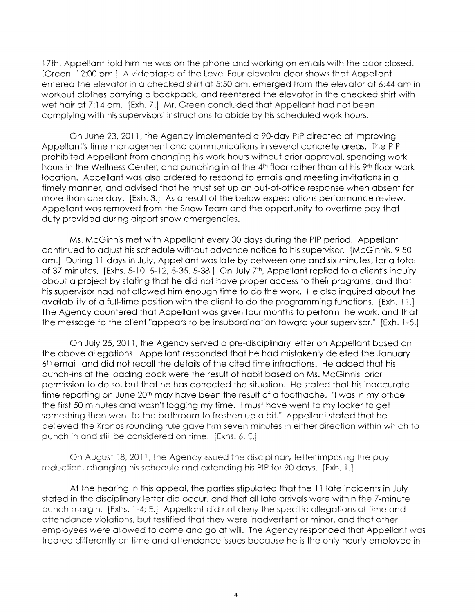17th, Appellant told him he was on the phone and working on emails with the door closed. [Green, 12:00 pm.] A videotape of the Level Four elevator door shows that Appellant entered the elevator in a checked shirt at 5:50 am, emerged from the elevator at 6:44 am in workout clothes carrying a backpack, and reentered the elevator in the checked shirt with wet hair at 7:14 am. [Exh. 7.] Mr. Green concluded that Appellant had not been complying with his supervisors' instructions to abide by his scheduled work hours.

On June 23, 2011, the Agency implemented a 90-day PIP directed at improving Appellant's time management and communications in several concrete areas. The PIP prohibited Appellant from changing his work hours without prior approval, spending work hours in the Wellness Center, and punching in at the 4<sup>th</sup> floor rather than at his 9<sup>th</sup> floor work location. Appellant was also ordered to respond to emails and meeting invitations in a timely manner, and advised that he must set up an out-of-office response when absent for more than one day. [Exh. 3.J As a result of the below expectations performance review, Appellant was removed from the Snow Team and the opportunity to overtime pay that duty provided during airport snow emergencies.

Ms. McGinnis met with Appellant every 30 days during the PIP period. Appellant continued to adjust his schedule without advance notice to his supervisor. [McGinnis, 9:50 am.] During 11 days in July, Appellant was late by between one and six minutes, for a total of 37 minutes. [Exhs. 5-10, 5-12, 5-35, 5-38.] On July 7<sup>th</sup>, Appellant replied to a client's inquiry about a project by stating that he did not have proper access to their programs, and that his supervisor had not allowed him enough time to do the work. He also inquired about the availability of a full-time position with the client to do the programming functions. [Exh. 11.] The Agency countered that Appellant was given four months to perform the work, and that the message to the client "appears to be insubordination toward your supervisor." [Exh. 1-5.]

On July 25, 201 l, the Agency served a pre-disciplinary letter on Appellant based on the above allegations. Appellant responded that he had mistakenly deleted the January  $6<sup>th</sup>$  email, and did not recall the details of the cited time infractions. He added that his punch-ins at the loading dock were the result of habit based on Ms. McGinnis' prior permission to do so, but that he has corrected the situation. He stated that his inaccurate time reporting on June 20<sup>th</sup> may have been the result of a toothache. "I was in my office the first 50 minutes and wasn't logging my time. I must have went to my locker to get something then went to the bathroom to freshen up a bit." Appellant stated that he believed the Kronos rounding rule gave him seven minutes in either direction within which to punch in and still be considered on time. [Exhs. 6, E.]

On August 18, 2011, the Agency issued the disciplinary letter imposing the pay reduction, changing his schedule and extending his PIP for 90 days. [Exh. l .]

At the hearing in this appeal, the parties stipulated that the 11 late incidents in July stated in the disciplinary letter did occur, and that all late arrivals were within the 7-minute punch margin. [Exhs. 1-4; E.] Appellant did not deny the specific allegations of time and attendance violations, but testified that they were inadvertent or minor, and that other employees were allowed to come and go at will. The Agency responded that Appellant was treated differently on time and attendance issues because he is the only hourly employee in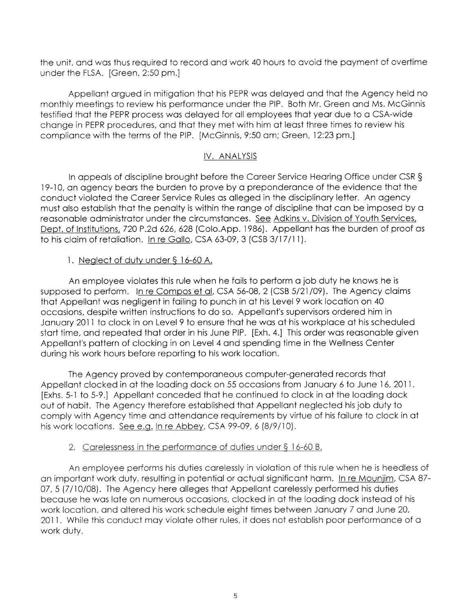the unit, and was thus required to record and work 40 hours to avoid the payment of overtime under the FLSA. [Green, 2:50 pm.]

Appellant argued in mitigation that his PEPR was delayed and that the Agency held no monthly meetings to review his performance under the PIP. Both Mr. Green and Ms. McGinnis testified that the PEPR process was delayed for all employees that year due to a CSA-wide change in PEPR procedures, and that they met with him at least three times to review his compliance with the terms of the PIP. [McGinnis, 9:50 am; Green, 12:23 pm.]

# IV. ANALYSIS

In appeals of discipline brought before the Career Service Hearing Office under CSR § 19-10, an agency bears the burden to prove by a preponderance of the evidence that the conduct violated the Career Service Rules as alleged in the disciplinary letter. An agency must also establish that the penalty is within the range of discipline that can be imposed by a reasonable administrator under the circumstances. See Adkins v. Division of Youth Services, Dept. of Institutions, 720 P.2d 626, 628 (Colo.App. 1986). Appellant has the burden of proof as to his claim of retaliation. In re Gallo, CSA 63-09, 3 (CSB 3/17/11).

# 1. Neglect of duty under § 16-60 A.

An employee violates this rule when he fails to perform a job duty he knows he is supposed to perform. In re Compos et al, CSA 56-08, 2 (CSB 5/21 /09}. The Agency claims that Appellant was negligent in failing to punch in at his Level 9 work location on 40 occasions, despite written instructions to do so. Appellant's supervisors ordered him in January 2011 to clock in on Level 9 to ensure that he was at his workplace at his scheduled start time, and repeated that order in his June PIP. [Exh. 4.] This order was reasonable given Appellant's pattern of clocking in on Level 4 and spending time in the Wellness Center during his work hours before reporting to his work location.

The Agency proved by contemporaneous computer-generated records that Appellant clocked in at the loading dock on 55 occasions from January 6 to June 16, 2011. [Exhs. 5-1 to 5-9.] Appellant conceded that he continued to clock in at the loading dock out of habit. The Agency therefore established that Appellant neglected his job duty to comply with Agency time and attendance requirements by virtue of his failure to clock in at his work locations. See e.g. In re Abbey, CSA 99-09, 6 (8/9/10).

# 2. Carelessness in the performance of duties under § 16-60 B.

An employee performs his duties carelessly in violation of this rule when he is heedless of an important work duty, resulting in potential or actual significant harm. In re Mouniim, CSA 87- 07, 5 (7/10/08). The Agency here alleges that Appellant carelessly performed his duties because he was late on numerous occasions, clocked in at the loading dock instead of his work location, and altered his work schedule eight times between January 7 and June 20, 2011. While this conduct may violate other rules, it does not establish poor performance of a work duty.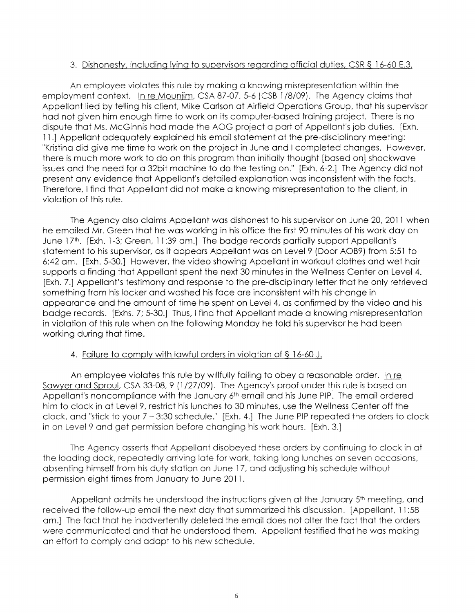### 3. Dishonesty, including lying to supervisors regarding official duties, CSR § 16-60 E.3.

An employee violates this **rule** by making a knowing misrepresentation within **the**  employment context. In re Mounjim, CSA 87-07, 5-6 (CSB 1 /8/09). The Agency claims that Appellant lied by telling his client, Mike Carlson at Airfield Operations Group, that his supervisor had not given him enough time to work on its computer-based training project. There is no dispute that Ms. McGinnis had made the AOG project a part of Appellant's job duties. [Exh. 11.] Appellant adequately explained his email statement at the pre-disciplinary meeting: "Kristina did give me time to work on the project in June and I completed changes. However, there is much more work to do on this program than initially thought [based on] shockwave issues and the need for a 32bit machine to do the testing on." [Exh. 6-2.] The Agency did not present any evidence that Appellant's detailed explanation was inconsistent with the facts. Therefore, I find that Appellant did not make a knowing misrepresentation to the client, in violation of this rule.

The Agency also claims Appellant was dishonest to his supervisor on June 20, 2011 when he emailed Mr. Green that he was working in his office the first 90 minutes of his work day on June 17th. [Exh. 1-3; Green, 11:39 am.] The badge records partially support Appellant's statement to his supervisor, as it appears Appellant was on Level 9 (Door AOB9) from 5:51 to 6:42 am. [Exh. 5-30.] However, the video showing Appellant in workout clothes and wet hair supports a finding that Appellant spent the next 30 minutes in the Wellness Center on Level 4. [Exh. 7.] Appellant's testimony and response to the pre-disciplinary letter that he only retrieved something from his locker and washed his face are inconsistent with his change in appearance and the amount of time he spent on Level 4, as confirmed by the video and his badge records. [Exhs. 7; 5-30.] Thus, I find that Appellant made a knowing misrepresentation in violation of this rule when on the following Monday he told his supervisor he had been working during that time.

#### 4. Failure to comply with lawful orders in violation of § 16-60 J.

An employee violates this rule by willfully failing to obey a reasonable order. In re Sawyer and Sproul, CSA 33-08, 9 (1/27/09). The Agency's proof under this rule is based on Appellant's noncompliance with the January 6<sup>th</sup> email and his June PIP. The email ordered him to clock in at Level 9, restrict his lunches to 30 minutes, use the Wellness Center off the clock, and "stick to your 7 - 3:30 schedule." [Exh. 4.] The June PIP repeated the orders to clock in on Level 9 and get permission before changing his work hours. [Exh. 3.]

The Agency asserts that Appellant disobeyed these orders by continuing to clock in at the loading dock, repeatedly arriving late for work, taking long lunches on seven occasions, absenting himself from his duty station on June 17, and adjusting his schedule without permission eight times from January to June 2011 .

Appellant admits he understood the instructions given at the January 5<sup>th</sup> meeting, and received the follow-up email the next day that summarized this discussion. [Appellant, 11 :58 am.] The fact that he inadvertently deleted the email does not alter the fact that the orders were communicated and that he understood them. Appellant testified that he was making an effort to comply and adapt to his new schedule.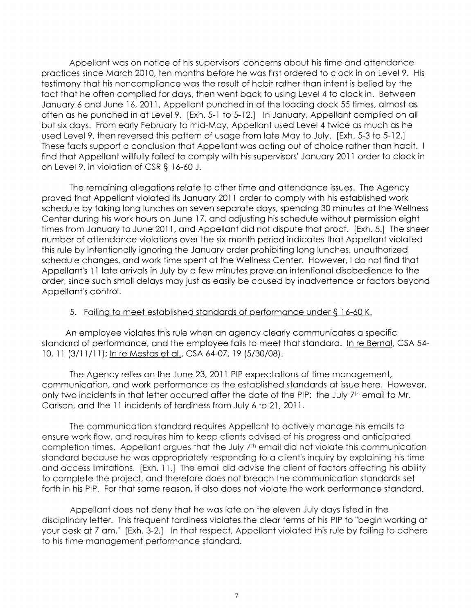Appellant was on notice of **his** supervisors' concerns about his **time** and **attendance**  practices since March 2010, ten months before he was first ordered to clock **in** on Level 9. **His**  testimony that his noncompliance was **the** result of habit rather than intent is belied by the fact that he often complied for days, then went back to using Level 4 to clock **in.** Between January 6 and June 16, 2011, Appellant punched in at the loading dock **55** times, almost as often as he punched in at Level 9. [Exh. 5-1 to 5-12.) **In** January, Appellant complied on all but six days. From early February to mid-May, Appellant used Level 4 twice as much as he used Level 9, then reversed this pattern of usage from **late** May to July. [Exh. 5-3 to 5-12.] These facts support a conclusion that Appellant was acting out of choice rather than habit. I find that Appellant willfully failed to comply with his supervisors' January 2011 order to clock in on Level 9, in violation of CSR§ 16-60 J.

The remaining allegations relate to other time and attendance issues. The Agency proved that Appellant violated its January 2011 order to comply with his established work schedule by taking long lunches on seven separate days, spending 30 minutes at the Wellness Center during his work hours on June 17, and adjusting his schedule without permission eight times from January to June 2011, and Appellant did not dispute that proof. [Exh. 5.] The sheer number of attendance violations over the six-month period indicates that Appellant violated this rule by intentionally ignoring the January order prohibiting long lunches, unauthorized schedule changes, and work time spent at the Wellness Center. However, I do not find that Appellant's 11 late arrivals in July by a few minutes prove an intentional disobedience to the order, since such small delays may just as easily be caused by inadvertence or factors beyond Appellant's control.

## 5. Failing to meet established standards of performance under § 16-60 K.

An employee violates this rule when an agency clearly communicates a specific standard of performance, and the employee fails to meet that standard. In re Bernal, CSA 54- 10, 11 (3/11 /11 ); In **re** Mestas et al., CSA 64-07, 19 (5/30/08).

The Agency relies on the June 23, 2011 PIP expectations of time management, communication, and work performance as the established standards at issue here. However, only two incidents in that letter occurred after the date of the PIP: the July 7<sup>th</sup> email to Mr. Carlson, and the 11 incidents of tardiness from July 6 to 21, 2011.

**The communication** standard **requires** Appellant to **actively** manage his emails to ensure **work flow, and requires him to keep clients advised of his progress and anticipated completion times. Appellant argues that the July** 7th **email did not violate this communication standard because he** was **appropriately responding to a client's inquiry by** explaining **his time and** access **limitations. [Exh.** 11.J The **email did** advise **the client of factors affecting his ability to** complete the project, and therefore does not breach the communication standards set forth in his PIP. For that same reason, it also does not violate the work performance standard.

Appellant does not deny that he was **late on the** eleven **July** days **listed** in the disciplinary letter. **This frequent** tardiness **violates the clear** terms of his PIP to "begin working at your desk at 7 am." **[Exh.** 3-2.] In that respect, Appellant violated this rule by **failing** to adhere to his time management performance standard.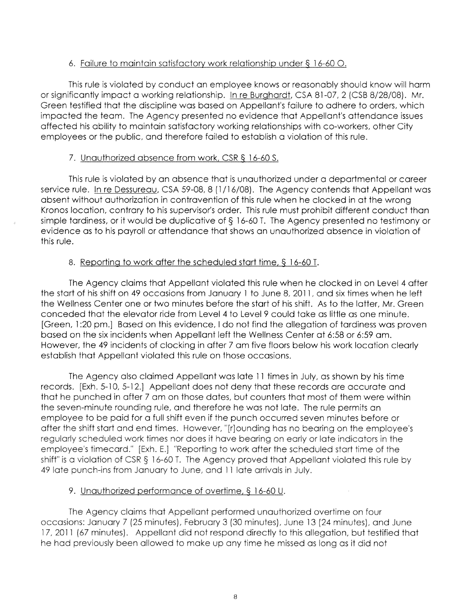## 6. Failure to maintain satisfactory work relationship under§ 16-60 0.

This rule is **violated by** conduct an **employee** knows or reasonably should know will harm or significantly impact a working relationship. In re Burghardt, CSA 81-07, 2 (CSB 8/28/08). Mr. Green testified that the discipline was based on Appellant's failure to adhere to orders, which impacted the team. The Agency presented no evidence that Appellant's attendance issues affected his ability to maintain satisfactory working relationships with co-workers, other City employees or the public, and therefore failed to establish a violation of this rule.

## 7. Unauthorized absence from work, CSR § 16-60 S.

This rule is violated by an absence that is unauthorized under a departmental or career service rule. In re Dessureau, CSA 59-08, 8 (1/16/08). The Agency contends that Appellant was absent without authorization in contravention of this rule when he clocked in at the wrong Kronos location, contrary to his supervisor's order. This rule must prohibit different conduct than simple tardiness, or it would be duplicative of § 16-60 T. The Agency presented no testimony or evidence as to his payroll or attendance that shows an unauthorized absence in violation of this rule.

## 8. Reporting to work after the scheduled start time,§ 16-60 T.

The Agency claims that Appellant violated this rule when he clocked in on Level 4 after the start of his shift on 49 occasions from January 1 to June 8, 2011, and six times when he left the Wellness Center one or two minutes before the start of his shift. As to the latter, Mr. Green conceded that the elevator ride from Level 4 to Level 9 could take as little as one minute. [Green, 1 :20 pm.] Based on this evidence, I do not find the allegation of tardiness was proven based on the six incidents when Appellant left the Wellness Center at 6:58 or 6:59 am. However, the 49 incidents of clocking in after 7 am five floors below his work location clearly establish that Appellant violated this rule on those occasions.

The Agency also claimed Appellant was late 11 times in July, as shown by his time records. [Exh. 5-10, 5-12.] Appellant does not deny that these records are accurate and that he punched in after 7 am on those dates, but counters that most of them were within the seven-minute rounding rule, and therefore he was not late. The rule permits an employee to be paid for a full shift even if the punch occurred seven minutes before or after the shift start and end times. However, "[r]ounding has no bearing on the employee's regularly scheduled **work** times nor does it have bearing on early or late indicators in the employee's timecard." [Exh. E.] ''Reporting to work after the scheduled start time of the shift" is a violation of CSR § 16-60 T. The Agency proved that Appellant violated this rule by 49 late punch-ins from January to June, and 11 late arrivals in July.

## 9. Unauthorized performance of overtime, § 16-60 U.

The Agency claims that Appellant performed unauthorized overtime on four occasions: January 7 (25 minutes), February 3 (30 minutes), June 13 (24 minutes), and June 17, 2011 (67 minutes). Appellant did not respond directly to this allegation, but testified that he had previously been allowed to make up any time he missed as long as it did not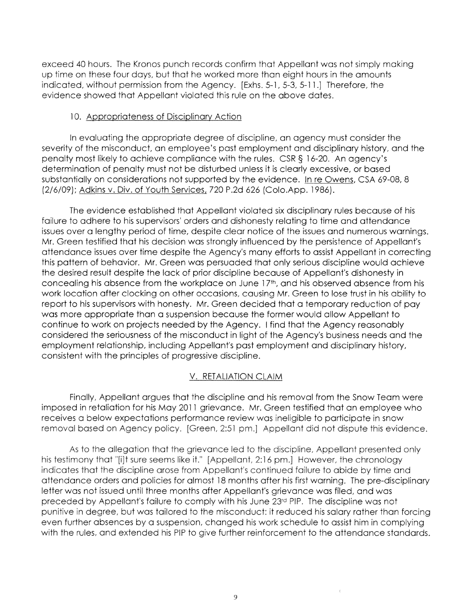**exceed** 40 hours. **The** Kronos punch records confirm that Appellant was not simply making **up** time on these four days, but that he worked more than eight hours in the amounts indicated, without permission from **the** Agency. [Exhs. 5-1, 5-3, 5-11.J Therefore, the evidence showed that Appellant violated **this** rule on **the** above dates.

#### 10. Appropriateness of Disciplinary Action

In evaluating the appropriate degree of discipline, an agency must consider the severity of the misconduct, an employee's past employment and disciplinary history, and the penalty most likely to achieve compliance with the rules. CSR§ 16-20. An agency's determination of penalty must not be disturbed unless it is clearly excessive, or based substantially on considerations not supported by the evidence. In re Owens, CSA 69-08, 8 (2/6/09); Adkins v. Div. of Youth Services, 720 P.2d 626 (Colo.App. 1986).

The evidence established that Appellant violated six disciplinary rules because of his failure to adhere to his supervisors' orders and dishonesty relating **to** time and attendance issues over a lengthy period of time, despite clear notice of the issues and numerous warnings. Mr. Green testified that his decision was strongly influenced by the persistence of Appellant's attendance issues over time despite the Agency's many efforts to assist Appellant in correcting this pattern of behavior. Mr. Green was persuaded that only serious discipline would achieve the desired result despite the lack of prior discipline because of Appellant's dishonesty in concealing his absence from the workplace on June 17<sup>th</sup>, and his observed absence from his work location after clocking on other occasions, causing Mr. Green to lose trust in his ability to report to his supervisors with honesty. Mr. Green decided that a temporary reduction of pay was more appropriate than a suspension because the former would allow Appellant to continue to work on projects needed by the Agency. I find that the Agency reasonably considered the seriousness of the misconduct in light of the Agency's business needs and the employment relationship, including Appellant's past employment and disciplinary history, consistent with the principles of progressive discipline.

#### V. RETALIATION CLAIM

Finally, Appellant argues that the discipline and his removal from the Snow Team were imposed in retaliation for his May 2011 grievance. Mr. Green testified that an employee who receives a below expectations performance review was ineligible to participate in snow **removal** based on **Agency policy. [Green,** 2:51 **pm.] Appellant did not** dispute **this evidence.** 

**As to the allegation that the grievance led to the discipline, Appellant presented only his testimony that "[i]t** sure seems **like it." [Appellant,** 2:16 **pm.] However, the chronology indicates that the discipline** arose **from Appellant's continued failure to** abide by **time and**  attendance orders and policies for almost 18 months after his first warning. **The** pre-disciplinary letter was not issued until three months after Appellant's grievance was filed, and was preceded by Appellant's failure to comply with his June **23rd** PIP. The discipline was not **punitive** in degree, but was tailored to the misconduct: it reduced his salary rather **than** forcing even **further** absences by a suspension, changed his work schedule to assist him in complying with **the** rules, and extended his PIP to **give** further reinforcement to the attendance standards.